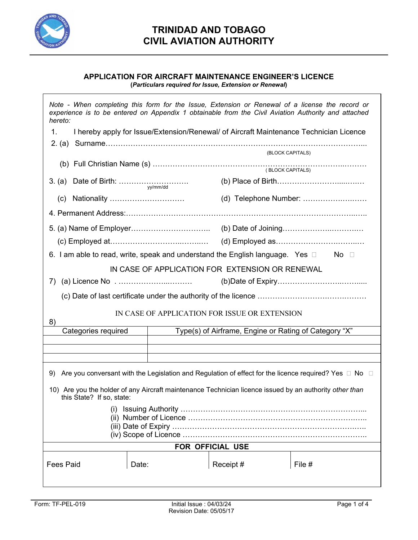

#### **APPLICATION FOR AIRCRAFT MAINTENANCE ENGINEER'S LICENCE (***Particulars required for Issue, Extension or Renewal***)**

İ *Note - When completing this form for the Issue, Extension or Renewal of a license the record or experience is to be entered on Appendix 1 obtainable from the Civil Aviation Authority and attached hereto:*  1. I hereby apply for Issue/Extension/Renewal/ of Aircraft Maintenance Technician Licence 2. (a) Surname…………………………………………………………………………………………... (BLOCK CAPITALS) (b) Full Christian Name (s) …………………………………………………………………..……… ( BLOCK CAPITALS) 3. (a) Date of Birth: ………………………. (b) Place of Birth…………………….....….… yy/mm/dd (c) Nationality ………………………… (d) Telephone Number: …………….….…… 4. Permanent Address:………………………………………………………………………………..….. 5. (a) Name of Employer………………………….. (b) Date of Joining………………..……….… (c) Employed at………………………..……..… (d) Employed as…………………….……..… 6. I am able to read, write, speak and understand the English language. Yes  $\Box$  No  $\Box$ IN CASE OF APPLICATION FOR EXTENSION OR RENEWAL 7) (a) Licence No . ………………...……… (b)Date of Expiry……………………..……..... (c) Date of last certificate under the authority of the licence ……………………….…….……… IN CASE OF APPLICATION FOR ISSUE OR EXTENSION 8) Categories required Type(s) of Airframe, Engine or Rating of Category "X" 9) Are you conversant with the Legislation and Regulation of effect for the licence required? Yes  $\Box$  No  $\Box$ 10) Are you the holder of any Aircraft maintenance Technician licence issued by an authority *other than* this State? If so, state: (i) Issuing Authority ………………………………………………………………... (ii) Number of Licence ………………………………………………………….….. (iii) Date of Expiry ……………………………………………………………….….. (iv) Scope of Licence ……………………………………………………………….. **FOR OFFICIAL USE**  Fees Paid Date: Receipt # File #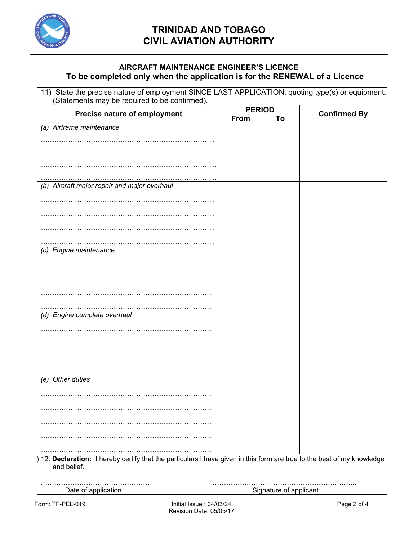

### **AIRCRAFT MAINTENANCE ENGINEER'S LICENCE To be completed only when the application is for the RENEWAL of a Licence**

| 11) State the precise nature of employment SINCE LAST APPLICATION, quoting type(s) or equipment.<br>(Statements may be required to be confirmed). |               |                        |                     |
|---------------------------------------------------------------------------------------------------------------------------------------------------|---------------|------------------------|---------------------|
| Precise nature of employment                                                                                                                      | <b>PERIOD</b> |                        |                     |
|                                                                                                                                                   | From          | To                     | <b>Confirmed By</b> |
| (a) Airframe maintenance                                                                                                                          |               |                        |                     |
|                                                                                                                                                   |               |                        |                     |
|                                                                                                                                                   |               |                        |                     |
|                                                                                                                                                   |               |                        |                     |
|                                                                                                                                                   |               |                        |                     |
| (b) Aircraft major repair and major overhaul                                                                                                      |               |                        |                     |
|                                                                                                                                                   |               |                        |                     |
|                                                                                                                                                   |               |                        |                     |
|                                                                                                                                                   |               |                        |                     |
|                                                                                                                                                   |               |                        |                     |
| (c) Engine maintenance                                                                                                                            |               |                        |                     |
|                                                                                                                                                   |               |                        |                     |
|                                                                                                                                                   |               |                        |                     |
|                                                                                                                                                   |               |                        |                     |
|                                                                                                                                                   |               |                        |                     |
| (d) Engine complete overhaul                                                                                                                      |               |                        |                     |
|                                                                                                                                                   |               |                        |                     |
|                                                                                                                                                   |               |                        |                     |
|                                                                                                                                                   |               |                        |                     |
|                                                                                                                                                   |               |                        |                     |
| (e) Other duties                                                                                                                                  |               |                        |                     |
|                                                                                                                                                   |               |                        |                     |
|                                                                                                                                                   |               |                        |                     |
|                                                                                                                                                   |               |                        |                     |
|                                                                                                                                                   |               |                        |                     |
|                                                                                                                                                   |               |                        |                     |
| 12. Declaration: I hereby certify that the particulars I have given in this form are true to the best of my knowledge<br>and belief.              |               |                        |                     |
|                                                                                                                                                   |               |                        |                     |
| Date of application                                                                                                                               |               | Signature of applicant |                     |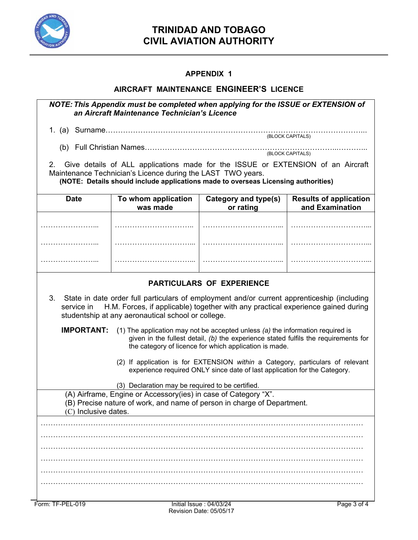

# **TRINIDAD AND TOBAGO CIVIL AVIATION AUTHORITY**

## **APPENDIX 1**

### **AIRCRAFT MAINTENANCE ENGINEER'S LICENCE**

| NOTE: This Appendix must be completed when applying for the ISSUE or EXTENSION of<br>an Aircraft Maintenance Technician's Licence                                                                                                                      |                                 |                                   |                                                  |  |  |
|--------------------------------------------------------------------------------------------------------------------------------------------------------------------------------------------------------------------------------------------------------|---------------------------------|-----------------------------------|--------------------------------------------------|--|--|
|                                                                                                                                                                                                                                                        |                                 |                                   |                                                  |  |  |
| (BLOCK CAPITALS)                                                                                                                                                                                                                                       |                                 |                                   |                                                  |  |  |
| (BLOCK CAPITALS)                                                                                                                                                                                                                                       |                                 |                                   |                                                  |  |  |
| Give details of ALL applications made for the ISSUE or EXTENSION of an Aircraft<br>2.                                                                                                                                                                  |                                 |                                   |                                                  |  |  |
| Maintenance Technician's Licence during the LAST TWO years.<br>(NOTE: Details should include applications made to overseas Licensing authorities)                                                                                                      |                                 |                                   |                                                  |  |  |
| <b>Date</b>                                                                                                                                                                                                                                            | To whom application<br>was made | Category and type(s)<br>or rating | <b>Results of application</b><br>and Examination |  |  |
|                                                                                                                                                                                                                                                        |                                 |                                   |                                                  |  |  |
|                                                                                                                                                                                                                                                        |                                 |                                   |                                                  |  |  |
|                                                                                                                                                                                                                                                        |                                 |                                   |                                                  |  |  |
| <b>PARTICULARS OF EXPERIENCE</b>                                                                                                                                                                                                                       |                                 |                                   |                                                  |  |  |
| 3. State in date order full particulars of employment and/or current apprenticeship (including<br>H.M. Forces, if applicable) together with any practical experience gained during<br>service in<br>studentship at any aeronautical school or college. |                                 |                                   |                                                  |  |  |
| <b>IMPORTANT:</b><br>(1) The application may not be accepted unless (a) the information required is<br>given in the fullest detail, (b) the experience stated fulfils the requirements for<br>the category of licence for which application is made.   |                                 |                                   |                                                  |  |  |
| (2) If application is for EXTENSION within a Category, particulars of relevant<br>experience required ONLY since date of last application for the Category.                                                                                            |                                 |                                   |                                                  |  |  |
| (3) Declaration may be required to be certified.                                                                                                                                                                                                       |                                 |                                   |                                                  |  |  |
| (A) Airframe, Engine or Accessory(ies) in case of Category "X".                                                                                                                                                                                        |                                 |                                   |                                                  |  |  |
| (B) Precise nature of work, and name of person in charge of Department.<br>$(C)$ Inclusive dates.                                                                                                                                                      |                                 |                                   |                                                  |  |  |
|                                                                                                                                                                                                                                                        |                                 |                                   |                                                  |  |  |
|                                                                                                                                                                                                                                                        |                                 |                                   |                                                  |  |  |
|                                                                                                                                                                                                                                                        |                                 |                                   |                                                  |  |  |
|                                                                                                                                                                                                                                                        |                                 |                                   |                                                  |  |  |
|                                                                                                                                                                                                                                                        |                                 |                                   |                                                  |  |  |
|                                                                                                                                                                                                                                                        |                                 |                                   |                                                  |  |  |
|                                                                                                                                                                                                                                                        |                                 |                                   |                                                  |  |  |